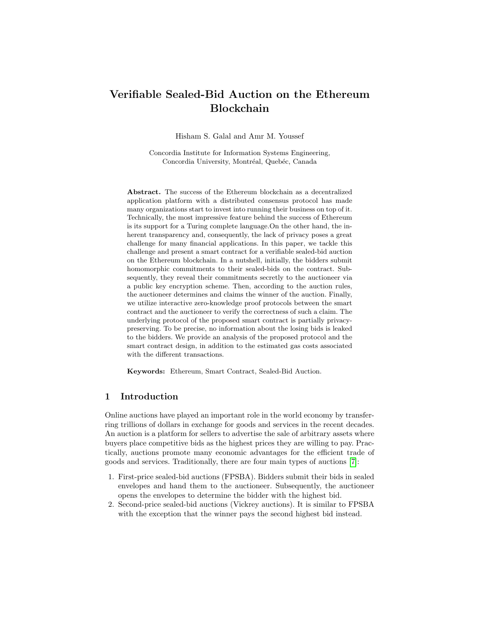# Verifiable Sealed-Bid Auction on the Ethereum Blockchain

Hisham S. Galal and Amr M. Youssef

Concordia Institute for Information Systems Engineering, Concordia University, Montréal, Quebéc, Canada

Abstract. The success of the Ethereum blockchain as a decentralized application platform with a distributed consensus protocol has made many organizations start to invest into running their business on top of it. Technically, the most impressive feature behind the success of Ethereum is its support for a Turing complete language.On the other hand, the inherent transparency and, consequently, the lack of privacy poses a great challenge for many financial applications. In this paper, we tackle this challenge and present a smart contract for a verifiable sealed-bid auction on the Ethereum blockchain. In a nutshell, initially, the bidders submit homomorphic commitments to their sealed-bids on the contract. Subsequently, they reveal their commitments secretly to the auctioneer via a public key encryption scheme. Then, according to the auction rules, the auctioneer determines and claims the winner of the auction. Finally, we utilize interactive zero-knowledge proof protocols between the smart contract and the auctioneer to verify the correctness of such a claim. The underlying protocol of the proposed smart contract is partially privacypreserving. To be precise, no information about the losing bids is leaked to the bidders. We provide an analysis of the proposed protocol and the smart contract design, in addition to the estimated gas costs associated with the different transactions.

Keywords: Ethereum, Smart Contract, Sealed-Bid Auction.

# 1 Introduction

Online auctions have played an important role in the world economy by transferring trillions of dollars in exchange for goods and services in the recent decades. An auction is a platform for sellers to advertise the sale of arbitrary assets where buyers place competitive bids as the highest prices they are willing to pay. Practically, auctions promote many economic advantages for the efficient trade of goods and services. Traditionally, there are four main types of auctions [\[7\]](#page-12-0):

- 1. First-price sealed-bid auctions (FPSBA). Bidders submit their bids in sealed envelopes and hand them to the auctioneer. Subsequently, the auctioneer opens the envelopes to determine the bidder with the highest bid.
- 2. Second-price sealed-bid auctions (Vickrey auctions). It is similar to FPSBA with the exception that the winner pays the second highest bid instead.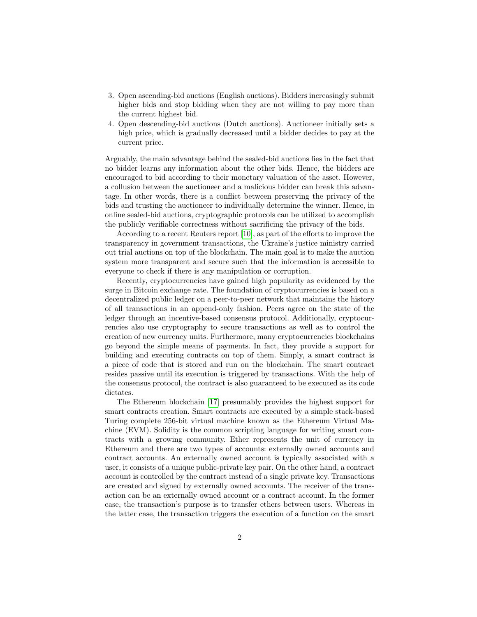- 3. Open ascending-bid auctions (English auctions). Bidders increasingly submit higher bids and stop bidding when they are not willing to pay more than the current highest bid.
- 4. Open descending-bid auctions (Dutch auctions). Auctioneer initially sets a high price, which is gradually decreased until a bidder decides to pay at the current price.

Arguably, the main advantage behind the sealed-bid auctions lies in the fact that no bidder learns any information about the other bids. Hence, the bidders are encouraged to bid according to their monetary valuation of the asset. However, a collusion between the auctioneer and a malicious bidder can break this advantage. In other words, there is a conflict between preserving the privacy of the bids and trusting the auctioneer to individually determine the winner. Hence, in online sealed-bid auctions, cryptographic protocols can be utilized to accomplish the publicly verifiable correctness without sacrificing the privacy of the bids.

According to a recent Reuters report [\[10\]](#page-12-1), as part of the efforts to improve the transparency in government transactions, the Ukraine's justice ministry carried out trial auctions on top of the blockchain. The main goal is to make the auction system more transparent and secure such that the information is accessible to everyone to check if there is any manipulation or corruption.

Recently, cryptocurrencies have gained high popularity as evidenced by the surge in Bitcoin exchange rate. The foundation of cryptocurrencies is based on a decentralized public ledger on a peer-to-peer network that maintains the history of all transactions in an append-only fashion. Peers agree on the state of the ledger through an incentive-based consensus protocol. Additionally, cryptocurrencies also use cryptography to secure transactions as well as to control the creation of new currency units. Furthermore, many cryptocurrencies blockchains go beyond the simple means of payments. In fact, they provide a support for building and executing contracts on top of them. Simply, a smart contract is a piece of code that is stored and run on the blockchain. The smart contract resides passive until its execution is triggered by transactions. With the help of the consensus protocol, the contract is also guaranteed to be executed as its code dictates.

The Ethereum blockchain [\[17\]](#page-13-0) presumably provides the highest support for smart contracts creation. Smart contracts are executed by a simple stack-based Turing complete 256-bit virtual machine known as the Ethereum Virtual Machine (EVM). Solidity is the common scripting language for writing smart contracts with a growing community. Ether represents the unit of currency in Ethereum and there are two types of accounts: externally owned accounts and contract accounts. An externally owned account is typically associated with a user, it consists of a unique public-private key pair. On the other hand, a contract account is controlled by the contract instead of a single private key. Transactions are created and signed by externally owned accounts. The receiver of the transaction can be an externally owned account or a contract account. In the former case, the transaction's purpose is to transfer ethers between users. Whereas in the latter case, the transaction triggers the execution of a function on the smart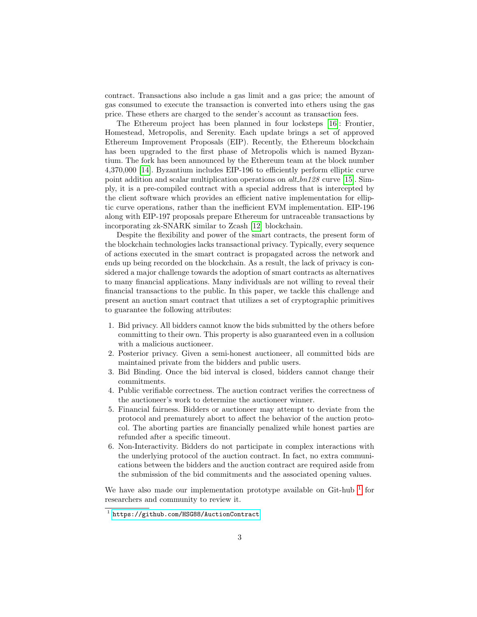contract. Transactions also include a gas limit and a gas price; the amount of gas consumed to execute the transaction is converted into ethers using the gas price. These ethers are charged to the sender's account as transaction fees.

The Ethereum project has been planned in four locksteps [\[16\]](#page-13-1): Frontier, Homestead, Metropolis, and Serenity. Each update brings a set of approved Ethereum Improvement Proposals (EIP). Recently, the Ethereum blockchain has been upgraded to the first phase of Metropolis which is named Byzantium. The fork has been announced by the Ethereum team at the block number 4,370,000 [\[14\]](#page-13-2). Byzantium includes EIP-196 to efficiently perform elliptic curve point addition and scalar multiplication operations on  $alt\_bn128$  curve [\[15\]](#page-13-3). Simply, it is a pre-compiled contract with a special address that is intercepted by the client software which provides an efficient native implementation for elliptic curve operations, rather than the inefficient EVM implementation. EIP-196 along with EIP-197 proposals prepare Ethereum for untraceable transactions by incorporating zk-SNARK similar to Zcash [\[12\]](#page-12-2) blockchain.

Despite the flexibility and power of the smart contracts, the present form of the blockchain technologies lacks transactional privacy. Typically, every sequence of actions executed in the smart contract is propagated across the network and ends up being recorded on the blockchain. As a result, the lack of privacy is considered a major challenge towards the adoption of smart contracts as alternatives to many financial applications. Many individuals are not willing to reveal their financial transactions to the public. In this paper, we tackle this challenge and present an auction smart contract that utilizes a set of cryptographic primitives to guarantee the following attributes:

- 1. Bid privacy. All bidders cannot know the bids submitted by the others before committing to their own. This property is also guaranteed even in a collusion with a malicious auctioneer.
- 2. Posterior privacy. Given a semi-honest auctioneer, all committed bids are maintained private from the bidders and public users.
- 3. Bid Binding. Once the bid interval is closed, bidders cannot change their commitments.
- 4. Public verifiable correctness. The auction contract verifies the correctness of the auctioneer's work to determine the auctioneer winner.
- 5. Financial fairness. Bidders or auctioneer may attempt to deviate from the protocol and prematurely abort to affect the behavior of the auction protocol. The aborting parties are financially penalized while honest parties are refunded after a specific timeout.
- 6. Non-Interactivity. Bidders do not participate in complex interactions with the underlying protocol of the auction contract. In fact, no extra communications between the bidders and the auction contract are required aside from the submission of the bid commitments and the associated opening values.

We have also made our implementation prototype available on Git-hub  $<sup>1</sup>$  $<sup>1</sup>$  $<sup>1</sup>$  for</sup> researchers and community to review it.

<span id="page-2-0"></span><sup>1</sup> <https://github.com/HSG88/AuctionContract>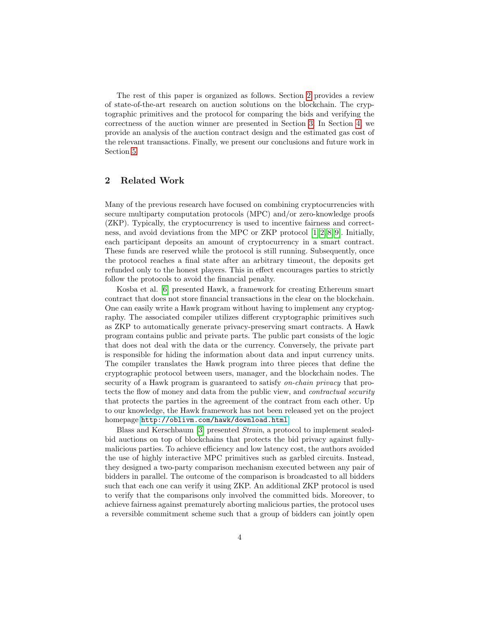The rest of this paper is organized as follows. Section [2](#page-3-0) provides a review of state-of-the-art research on auction solutions on the blockchain. The cryptographic primitives and the protocol for comparing the bids and verifying the correctness of the auction winner are presented in Section [3.](#page-4-0) In Section [4,](#page-5-0) we provide an analysis of the auction contract design and the estimated gas cost of the relevant transactions. Finally, we present our conclusions and future work in Section [5.](#page-11-0)

# <span id="page-3-0"></span>2 Related Work

Many of the previous research have focused on combining cryptocurrencies with secure multiparty computation protocols (MPC) and/or zero-knowledge proofs (ZKP). Typically, the cryptocurrency is used to incentive fairness and correctness, and avoid deviations from the MPC or ZKP protocol [\[1,](#page-12-3) [2,](#page-12-4) [8,](#page-12-5) [9\]](#page-12-6). Initially, each participant deposits an amount of cryptocurrency in a smart contract. These funds are reserved while the protocol is still running. Subsequently, once the protocol reaches a final state after an arbitrary timeout, the deposits get refunded only to the honest players. This in effect encourages parties to strictly follow the protocols to avoid the financial penalty.

Kosba et al. [\[6\]](#page-12-7) presented Hawk, a framework for creating Ethereum smart contract that does not store financial transactions in the clear on the blockchain. One can easily write a Hawk program without having to implement any cryptography. The associated compiler utilizes different cryptographic primitives such as ZKP to automatically generate privacy-preserving smart contracts. A Hawk program contains public and private parts. The public part consists of the logic that does not deal with the data or the currency. Conversely, the private part is responsible for hiding the information about data and input currency units. The compiler translates the Hawk program into three pieces that define the cryptographic protocol between users, manager, and the blockchain nodes. The security of a Hawk program is guaranteed to satisfy *on-chain privacy* that protects the flow of money and data from the public view, and contractual security that protects the parties in the agreement of the contract from each other. Up to our knowledge, the Hawk framework has not been released yet on the project homepage <http://oblivm.com/hawk/download.html>.

Blass and Kerschbaum [\[3\]](#page-12-8) presented Strain, a protocol to implement sealedbid auctions on top of blockchains that protects the bid privacy against fullymalicious parties. To achieve efficiency and low latency cost, the authors avoided the use of highly interactive MPC primitives such as garbled circuits. Instead, they designed a two-party comparison mechanism executed between any pair of bidders in parallel. The outcome of the comparison is broadcasted to all bidders such that each one can verify it using ZKP. An additional ZKP protocol is used to verify that the comparisons only involved the committed bids. Moreover, to achieve fairness against prematurely aborting malicious parties, the protocol uses a reversible commitment scheme such that a group of bidders can jointly open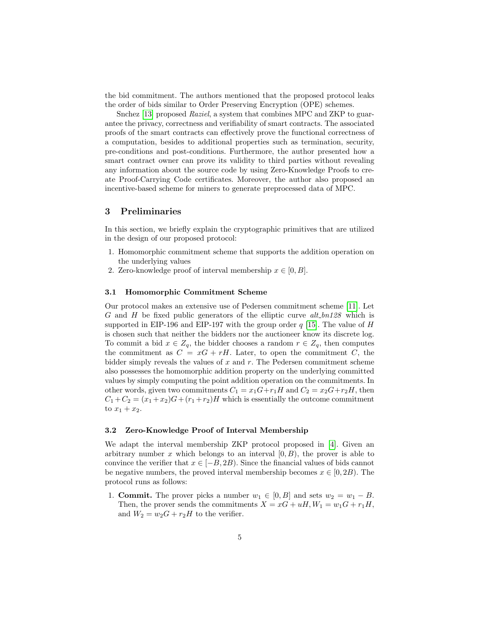the bid commitment. The authors mentioned that the proposed protocol leaks the order of bids similar to Order Preserving Encryption (OPE) schemes.

Snchez [\[13\]](#page-12-9) proposed Raziel, a system that combines MPC and ZKP to guarantee the privacy, correctness and verifiability of smart contracts. The associated proofs of the smart contracts can effectively prove the functional correctness of a computation, besides to additional properties such as termination, security, pre-conditions and post-conditions. Furthermore, the author presented how a smart contract owner can prove its validity to third parties without revealing any information about the source code by using Zero-Knowledge Proofs to create Proof-Carrying Code certificates. Moreover, the author also proposed an incentive-based scheme for miners to generate preprocessed data of MPC.

## <span id="page-4-0"></span>3 Preliminaries

In this section, we briefly explain the cryptographic primitives that are utilized in the design of our proposed protocol:

- 1. Homomorphic commitment scheme that supports the addition operation on the underlying values
- 2. Zero-knowledge proof of interval membership  $x \in [0, B]$ .

## 3.1 Homomorphic Commitment Scheme

Our protocol makes an extensive use of Pedersen commitment scheme [\[11\]](#page-12-10). Let G and H be fixed public generators of the elliptic curve  $alt\_bn128$  which is supported in EIP-196 and EIP-197 with the group order  $q$  [\[15\]](#page-13-3). The value of H is chosen such that neither the bidders nor the auctioneer know its discrete log. To commit a bid  $x \in Z_q$ , the bidder chooses a random  $r \in Z_q$ , then computes the commitment as  $C = xG + rH$ . Later, to open the commitment C, the bidder simply reveals the values of  $x$  and  $r$ . The Pedersen commitment scheme also possesses the homomorphic addition property on the underlying committed values by simply computing the point addition operation on the commitments. In other words, given two commitments  $C_1 = x_1G + r_1H$  and  $C_2 = x_2G + r_2H$ , then  $C_1 + C_2 = (x_1 + x_2)G + (r_1 + r_2)H$  which is essentially the outcome commitment to  $x_1 + x_2$ .

## 3.2 Zero-Knowledge Proof of Interval Membership

We adapt the interval membership ZKP protocol proposed in [\[4\]](#page-12-11). Given an arbitrary number x which belongs to an interval  $[0, B)$ , the prover is able to convince the verifier that  $x \in [-B, 2B)$ . Since the financial values of bids cannot be negative numbers, the proved interval membership becomes  $x \in [0, 2B)$ . The protocol runs as follows:

1. **Commit.** The prover picks a number  $w_1 \in [0, B]$  and sets  $w_2 = w_1 - B$ . Then, the prover sends the commitments  $X = xG + uH, W_1 = w_1G + r_1H$ , and  $W_2 = w_2G + r_2H$  to the verifier.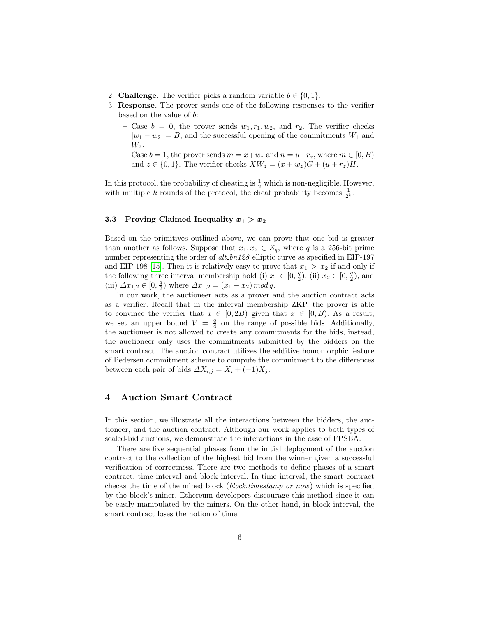- 2. **Challenge.** The verifier picks a random variable  $b \in \{0, 1\}$ .
- 3. Response. The prover sends one of the following responses to the verifier based on the value of b:
	- Case  $b = 0$ , the prover sends  $w_1, r_1, w_2$ , and  $r_2$ . The verifier checks  $|w_1 - w_2| = B$ , and the successful opening of the commitments  $W_1$  and  $W_2$ .
	- Case  $b = 1$ , the prover sends  $m = x + w_z$  and  $n = u + r_z$ , where  $m \in [0, B)$ and  $z \in \{0, 1\}$ . The verifier checks  $XW_z = (x + w_z)G + (u + r_z)H$ .

In this protocol, the probability of cheating is  $\frac{1}{2}$  which is non-negligible. However, with multiple k rounds of the protocol, the cheat probability becomes  $\frac{1}{2^k}$ .

### 3.3 Proving Claimed Inequality  $x_1 > x_2$

Based on the primitives outlined above, we can prove that one bid is greater than another as follows. Suppose that  $x_1, x_2 \in Z_q$ , where q is a 256-bit prime number representing the order of alt bn128 elliptic curve as specified in EIP-197 and EIP-198 [\[15\]](#page-13-3). Then it is relatively easy to prove that  $x_1 > x_2$  if and only if the following three interval membership hold (i)  $x_1 \in [0, \frac{q}{2})$ , (ii)  $x_2 \in [0, \frac{q}{2})$ , and (iii)  $\Delta x_{1,2} \in [0, \frac{q}{2})$  where  $\Delta x_{1,2} = (x_1 - x_2) \mod q$ .

In our work, the auctioneer acts as a prover and the auction contract acts as a verifier. Recall that in the interval membership ZKP, the prover is able to convince the verifier that  $x \in [0, 2B)$  given that  $x \in [0, B)$ . As a result, we set an upper bound  $V = \frac{q}{4}$  on the range of possible bids. Additionally, the auctioneer is not allowed to create any commitments for the bids, instead, the auctioneer only uses the commitments submitted by the bidders on the smart contract. The auction contract utilizes the additive homomorphic feature of Pedersen commitment scheme to compute the commitment to the differences between each pair of bids  $\Delta X_{i,j} = X_i + (-1)X_j$ .

# <span id="page-5-0"></span>4 Auction Smart Contract

In this section, we illustrate all the interactions between the bidders, the auctioneer, and the auction contract. Although our work applies to both types of sealed-bid auctions, we demonstrate the interactions in the case of FPSBA.

There are five sequential phases from the initial deployment of the auction contract to the collection of the highest bid from the winner given a successful verification of correctness. There are two methods to define phases of a smart contract: time interval and block interval. In time interval, the smart contract checks the time of the mined block (block.timestamp or now) which is specified by the block's miner. Ethereum developers discourage this method since it can be easily manipulated by the miners. On the other hand, in block interval, the smart contract loses the notion of time.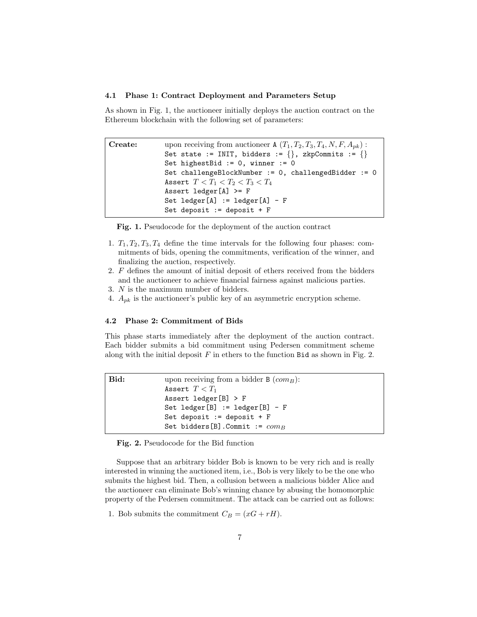### 4.1 Phase 1: Contract Deployment and Parameters Setup

As shown in Fig. 1, the auctioneer initially deploys the auction contract on the Ethereum blockchain with the following set of parameters:

| Create: | upon receiving from auctioneer A $(T_1, T_2, T_3, T_4, N, F, A_{pk})$ : |
|---------|-------------------------------------------------------------------------|
|         | Set state := INIT, bidders := $\{\}$ , zkpCommits := $\{\}$             |
|         | Set highest Bid := $0$ , winner := 0                                    |
|         | Set challengeBlockNumber $:= 0$ , challengedBidder $:= 0$               |
|         | Assert $T < T_1 < T_2 < T_3 < T_4$                                      |
|         | Assert ledger $[A]$ >= F                                                |
|         | Set ledger[A] := ledger[A] - $F$                                        |
|         | Set deposit := deposit + $F$                                            |

Fig. 1. Pseudocode for the deployment of the auction contract

- 1.  $T_1, T_2, T_3, T_4$  define the time intervals for the following four phases: commitments of bids, opening the commitments, verification of the winner, and finalizing the auction, respectively.
- 2. F defines the amount of initial deposit of ethers received from the bidders and the auctioneer to achieve financial fairness against malicious parties.
- 3. N is the maximum number of bidders.
- 4.  $A_{pk}$  is the auctioneer's public key of an asymmetric encryption scheme.

## 4.2 Phase 2: Commitment of Bids

This phase starts immediately after the deployment of the auction contract. Each bidder submits a bid commitment using Pedersen commitment scheme along with the initial deposit  $F$  in ethers to the function  $Bid$  as shown in Fig. 2.

```
Bid: upon receiving from a bidder B(\text{com}_B):
         Assert T < T_1Assert ledger[B] > F
         Set ledger[B] := ledger[B] - F
         Set deposit := deposit + F
         Set bidders[B].Commit := com_B
```
Fig. 2. Pseudocode for the Bid function

Suppose that an arbitrary bidder Bob is known to be very rich and is really interested in winning the auctioned item, i.e., Bob is very likely to be the one who submits the highest bid. Then, a collusion between a malicious bidder Alice and the auctioneer can eliminate Bob's winning chance by abusing the homomorphic property of the Pedersen commitment. The attack can be carried out as follows:

1. Bob submits the commitment  $C_B = (xG + rH)$ .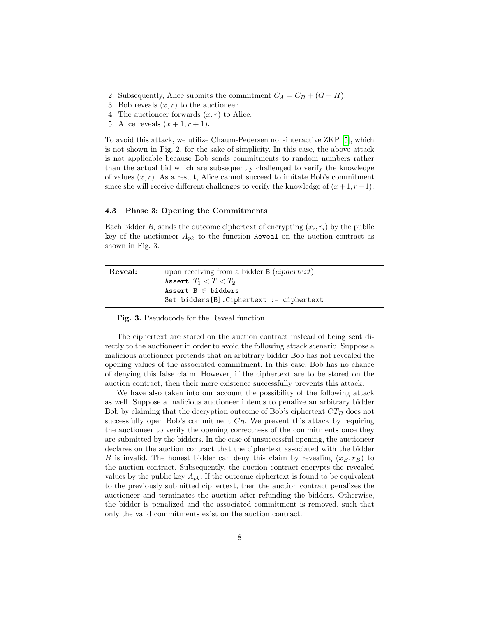- 2. Subsequently, Alice submits the commitment  $C_A = C_B + (G + H)$ .
- 3. Bob reveals  $(x, r)$  to the auctioneer.
- 4. The auctioneer forwards  $(x, r)$  to Alice.
- 5. Alice reveals  $(x+1, r+1)$ .

To avoid this attack, we utilize Chaum-Pedersen non-interactive ZKP [\[5\]](#page-12-12), which is not shown in Fig. 2. for the sake of simplicity. In this case, the above attack is not applicable because Bob sends commitments to random numbers rather than the actual bid which are subsequently challenged to verify the knowledge of values  $(x, r)$ . As a result, Alice cannot succeed to imitate Bob's commitment since she will receive different challenges to verify the knowledge of  $(x+1, r+1)$ .

## 4.3 Phase 3: Opening the Commitments

Each bidder  $B_i$  sends the outcome ciphertext of encrypting  $(x_i, r_i)$  by the public key of the auctioneer  $A_{pk}$  to the function Reveal on the auction contract as shown in Fig. 3.

| Reveal: | upon receiving from a bidder $B$ ( <i>ciphertext</i> ): |  |  |
|---------|---------------------------------------------------------|--|--|
|         | Assert $T_1 < T < T_2$                                  |  |  |
|         | Assert $B \in b$ idders                                 |  |  |
|         | Set bidders $[B]$ . Ciphertext := ciphertext            |  |  |

Fig. 3. Pseudocode for the Reveal function

The ciphertext are stored on the auction contract instead of being sent directly to the auctioneer in order to avoid the following attack scenario. Suppose a malicious auctioneer pretends that an arbitrary bidder Bob has not revealed the opening values of the associated commitment. In this case, Bob has no chance of denying this false claim. However, if the ciphertext are to be stored on the auction contract, then their mere existence successfully prevents this attack.

We have also taken into our account the possibility of the following attack as well. Suppose a malicious auctioneer intends to penalize an arbitrary bidder Bob by claiming that the decryption outcome of Bob's ciphertext  $CT_B$  does not successfully open Bob's commitment  $C_B$ . We prevent this attack by requiring the auctioneer to verify the opening correctness of the commitments once they are submitted by the bidders. In the case of unsuccessful opening, the auctioneer declares on the auction contract that the ciphertext associated with the bidder B is invalid. The honest bidder can deny this claim by revealing  $(x_B, r_B)$  to the auction contract. Subsequently, the auction contract encrypts the revealed values by the public key  $A_{pk}$ . If the outcome ciphertext is found to be equivalent to the previously submitted ciphertext, then the auction contract penalizes the auctioneer and terminates the auction after refunding the bidders. Otherwise, the bidder is penalized and the associated commitment is removed, such that only the valid commitments exist on the auction contract.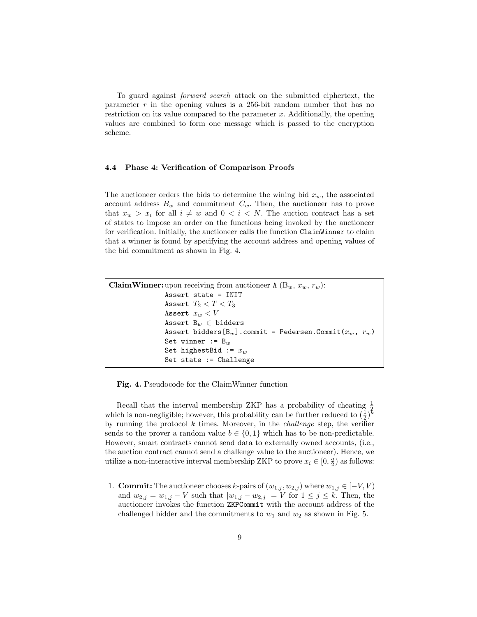To guard against forward search attack on the submitted ciphertext, the parameter  $r$  in the opening values is a 256-bit random number that has no restriction on its value compared to the parameter x. Additionally, the opening values are combined to form one message which is passed to the encryption scheme.

## 4.4 Phase 4: Verification of Comparison Proofs

The auctioneer orders the bids to determine the wining bid  $x_w$ , the associated account address  $B_w$  and commitment  $C_w$ . Then, the auctioneer has to prove that  $x_w > x_i$  for all  $i \neq w$  and  $0 < i < N$ . The auction contract has a set of states to impose an order on the functions being invoked by the auctioneer for verification. Initially, the auctioneer calls the function ClaimWinner to claim that a winner is found by specifying the account address and opening values of the bid commitment as shown in Fig. 4.

```
ClaimWinner: upon receiving from auctioneer A(B_w, x_w, r_w):
         Assert state = INIT
         Assert T_2 < T < T_3Assert x_w < VAssert B_w \in bidders
         Assert bidders[B_w].commit = Pedersen.Commit(x_w, r_w)Set winner := B_wSet highestBid := x_wSet state := Challenge
```
Fig. 4. Pseudocode for the ClaimWinner function

Recall that the interval membership ZKP has a probability of cheating  $\frac{1}{2}$  which is non-negligible; however, this probability can be further reduced to  $(\frac{1}{2})^k$ by running the protocol  $k$  times. Moreover, in the *challenge* step, the verifier sends to the prover a random value  $b \in \{0,1\}$  which has to be non-predictable. However, smart contracts cannot send data to externally owned accounts, (i.e., the auction contract cannot send a challenge value to the auctioneer). Hence, we utilize a non-interactive interval membership ZKP to prove  $x_i \in [0, \frac{q}{2})$  as follows:

1. **Commit:** The auctioneer chooses k-pairs of  $(w_{1,j}, w_{2,j})$  where  $w_{1,j} \in [-V, V)$ and  $w_{2,j} = w_{1,j} - V$  such that  $|w_{1,j} - w_{2,j}| = V$  for  $1 \le j \le k$ . Then, the auctioneer invokes the function ZKPCommit with the account address of the challenged bidder and the commitments to  $w_1$  and  $w_2$  as shown in Fig. 5.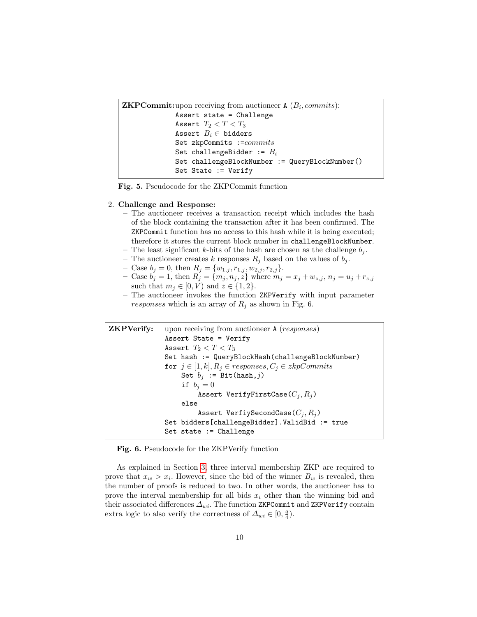```
ZKPCommit: upon receiving from auctioneer A(B_i, commits):
        Assert state = Challenge
        Assert T_2 < T < T_3Assert B_i \in bidders
        Set zkpCommits :=commits
        Set challengeBidder := B_iSet challengeBlockNumber := QueryBlockNumber()
        Set State := Verify
```
Fig. 5. Pseudocode for the ZKPCommit function

### 2. Challenge and Response:

- The auctioneer receives a transaction receipt which includes the hash of the block containing the transaction after it has been confirmed. The ZKPCommit function has no access to this hash while it is being executed; therefore it stores the current block number in challengeBlockNumber.
- The least significant k-bits of the hash are chosen as the challenge  $b_i$ .
- The auctioneer creates k responses  $R_i$  based on the values of  $b_i$ .
- Case  $b_j = 0$ , then  $R_j = \{w_{1,j}, r_{1,j}, w_{2,j}, r_{2,j}\}.$
- Case  $b_j = 1$ , then  $R_j = \{m_j, n_j, z\}$  where  $m_j = x_j + w_{z,j}, n_j = u_j + r_{z,j}$ such that  $m_j \in [0, V)$  and  $z \in \{1, 2\}$ .
- The auctioneer invokes the function ZKPVerify with input parameter responses which is an array of  $R_j$  as shown in Fig. 6.

```
ZKPVerify: upon receiving from auctioneer A (responses)
          Assert State = Verify
          Assert T_2 < T < T_3Set hash := QueryBlockHash(challengeBlockNumber)
          for j \in [1, k], R_j \in responses, C_j \in zkpCommitsSet b_j := Bit(hash, j)
              if b_j = 0Assert VerifyFirstCase(C_j, R_j)
              else
                   Assert VerfiySecondCase(C_i, R_j)Set bidders[challengeBidder].ValidBid := true
          Set state := Challenge
```
Fig. 6. Pseudocode for the ZKPVerify function

As explained in Section [3,](#page-4-0) three interval membership ZKP are required to prove that  $x_w > x_i$ . However, since the bid of the winner  $B_w$  is revealed, then the number of proofs is reduced to two. In other words, the auctioneer has to prove the interval membership for all bids  $x_i$  other than the winning bid and their associated differences  $\Delta_{wi}$ . The function ZKPCommit and ZKPVerify contain extra logic to also verify the correctness of  $\Delta_{wi} \in [0, \frac{q}{4})$ .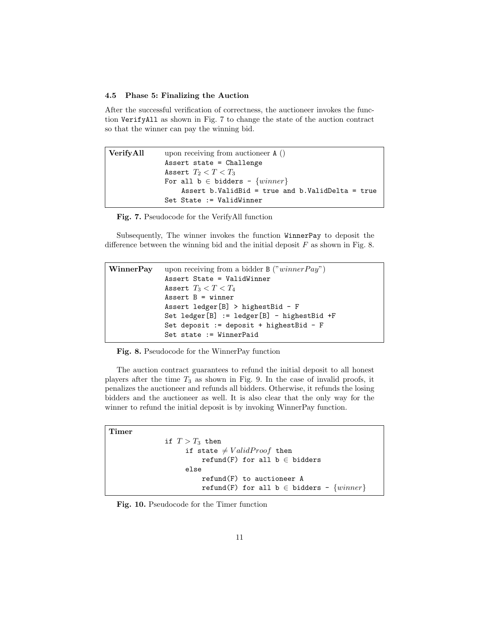## 4.5 Phase 5: Finalizing the Auction

After the successful verification of correctness, the auctioneer invokes the function VerifyAll as shown in Fig. 7 to change the state of the auction contract so that the winner can pay the winning bid.

| VerifyAll | upon receiving from auctioneer $A()$                       |
|-----------|------------------------------------------------------------|
|           | Assert state = Challenge                                   |
|           | Assert $T_2 < T < T_3$                                     |
|           | For all $b \in b$ idders - $\{winner\}$                    |
|           | Assert $b$ . Valid Bid = true and $b$ . Valid Delta = true |
|           | Set State := ValidWinner                                   |

Fig. 7. Pseudocode for the VerifyAll function

Subsequently, The winner invokes the function WinnerPay to deposit the difference between the winning bid and the initial deposit  $F$  as shown in Fig. 8.

| WinnerPay | upon receiving from a bidder $B("winner Pay")$               |  |  |
|-----------|--------------------------------------------------------------|--|--|
|           | Assert State = ValidWinner                                   |  |  |
|           | Assert $T_3 < T < T_4$                                       |  |  |
|           | Assert $B =$ winner                                          |  |  |
|           | Assert ledger $[B]$ > highestBid - F                         |  |  |
|           | Set ledger $[B] := \text{ledger}[B] - \text{highestBid} + F$ |  |  |
|           | Set deposit := deposit + highestBid - $F$                    |  |  |
|           | Set state := WinnerPaid                                      |  |  |
|           |                                                              |  |  |

Fig. 8. Pseudocode for the WinnerPay function

The auction contract guarantees to refund the initial deposit to all honest players after the time  $T_3$  as shown in Fig. 9. In the case of invalid proofs, it penalizes the auctioneer and refunds all bidders. Otherwise, it refunds the losing bidders and the auctioneer as well. It is also clear that the only way for the winner to refund the initial deposit is by invoking WinnerPay function.

Timer

```
if T > T_3 then
if state \neq ValidProof then
    refund(F) for all b \in bidders
else
    refund(F) to auctioneer A
    refund(F) for all b \in bidders - {winner}
```
Fig. 10. Pseudocode for the Timer function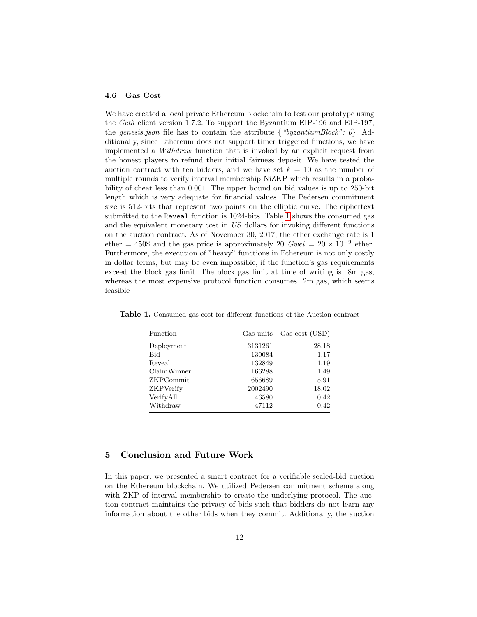### 4.6 Gas Cost

We have created a local private Ethereum blockchain to test our prototype using the Geth client version 1.7.2. To support the Byzantium EIP-196 and EIP-197, the genesis.json file has to contain the attribute  $\{\text{``byzantiumBlock'': 0}\}.$  Additionally, since Ethereum does not support timer triggered functions, we have implemented a Withdraw function that is invoked by an explicit request from the honest players to refund their initial fairness deposit. We have tested the auction contract with ten bidders, and we have set  $k = 10$  as the number of multiple rounds to verify interval membership NiZKP which results in a probability of cheat less than 0.001. The upper bound on bid values is up to 250-bit length which is very adequate for financial values. The Pedersen commitment size is 512-bits that represent two points on the elliptic curve. The ciphertext submitted to the Reveal function is 1024-bits. Table [1](#page-11-1) shows the consumed gas and the equivalent monetary cost in US dollars for invoking different functions on the auction contract. As of November 30, 2017, the ether exchange rate is 1 ether = 450\$ and the gas price is approximately 20  $Gwei = 20 \times 10^{-9}$  ether. Furthermore, the execution of "heavy" functions in Ethereum is not only costly in dollar terms, but may be even impossible, if the function's gas requirements exceed the block gas limit. The block gas limit at time of writing is 8m gas, whereas the most expensive protocol function consumes 2m gas, which seems feasible

<span id="page-11-1"></span>

| Function    | Gas units | Gas cost (USD) |
|-------------|-----------|----------------|
| Deployment  | 3131261   | 28.18          |
| Bid         | 130084    | 1.17           |
| Reveal      | 132849    | 1.19           |
| ClaimWinner | 166288    | 1.49           |
| ZKPCommit   | 656689    | 5.91           |
| ZKPVerify   | 2002490   | 18.02          |
| VerifyAll   | 46580     | 0.42           |
| Withdraw    | 47112     | 0.42           |

Table 1. Consumed gas cost for different functions of the Auction contract

# <span id="page-11-0"></span>5 Conclusion and Future Work

In this paper, we presented a smart contract for a verifiable sealed-bid auction on the Ethereum blockchain. We utilized Pedersen commitment scheme along with ZKP of interval membership to create the underlying protocol. The auction contract maintains the privacy of bids such that bidders do not learn any information about the other bids when they commit. Additionally, the auction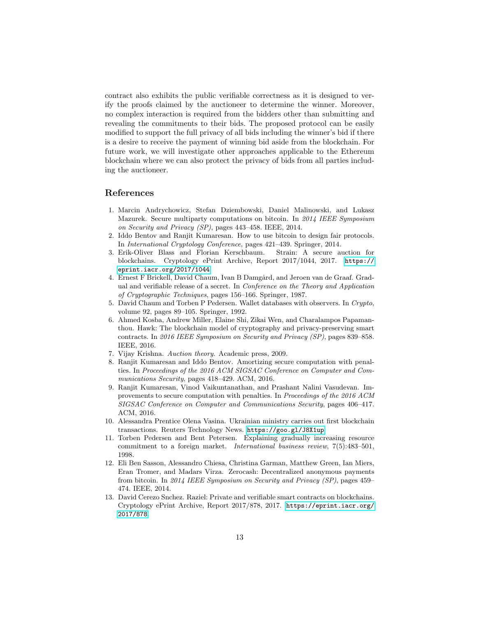contract also exhibits the public verifiable correctness as it is designed to verify the proofs claimed by the auctioneer to determine the winner. Moreover, no complex interaction is required from the bidders other than submitting and revealing the commitments to their bids. The proposed protocol can be easily modified to support the full privacy of all bids including the winner's bid if there is a desire to receive the payment of winning bid aside from the blockchain. For future work, we will investigate other approaches applicable to the Ethereum blockchain where we can also protect the privacy of bids from all parties including the auctioneer.

## References

- <span id="page-12-3"></span>1. Marcin Andrychowicz, Stefan Dziembowski, Daniel Malinowski, and Lukasz Mazurek. Secure multiparty computations on bitcoin. In 2014 IEEE Symposium on Security and Privacy (SP), pages 443–458. IEEE, 2014.
- <span id="page-12-4"></span>2. Iddo Bentov and Ranjit Kumaresan. How to use bitcoin to design fair protocols. In International Cryptology Conference, pages 421–439. Springer, 2014.
- <span id="page-12-8"></span>3. Erik-Oliver Blass and Florian Kerschbaum. Strain: A secure auction for blockchains. Cryptology ePrint Archive, Report 2017/1044, 2017. [https://](https://eprint.iacr.org/2017/1044) [eprint.iacr.org/2017/1044](https://eprint.iacr.org/2017/1044).
- <span id="page-12-11"></span>4. Ernest F Brickell, David Chaum, Ivan B Damgård, and Jeroen van de Graaf. Gradual and verifiable release of a secret. In Conference on the Theory and Application of Cryptographic Techniques, pages 156–166. Springer, 1987.
- <span id="page-12-12"></span>5. David Chaum and Torben P Pedersen. Wallet databases with observers. In Crypto, volume 92, pages 89–105. Springer, 1992.
- <span id="page-12-7"></span>6. Ahmed Kosba, Andrew Miller, Elaine Shi, Zikai Wen, and Charalampos Papamanthou. Hawk: The blockchain model of cryptography and privacy-preserving smart contracts. In 2016 IEEE Symposium on Security and Privacy (SP), pages 839–858. IEEE, 2016.
- <span id="page-12-0"></span>7. Vijay Krishna. Auction theory. Academic press, 2009.
- <span id="page-12-5"></span>8. Ranjit Kumaresan and Iddo Bentov. Amortizing secure computation with penalties. In Proceedings of the 2016 ACM SIGSAC Conference on Computer and Communications Security, pages 418–429. ACM, 2016.
- <span id="page-12-6"></span>9. Ranjit Kumaresan, Vinod Vaikuntanathan, and Prashant Nalini Vasudevan. Improvements to secure computation with penalties. In Proceedings of the 2016 ACM SIGSAC Conference on Computer and Communications Security, pages 406–417. ACM, 2016.
- <span id="page-12-1"></span>10. Alessandra Prentice Olena Vasina. Ukrainian ministry carries out first blockchain transactions. Reuters Technology News. <https://goo.gl/J8X1up>.
- <span id="page-12-10"></span>11. Torben Pedersen and Bent Petersen. Explaining gradually increasing resource commitment to a foreign market. International business review, 7(5):483–501, 1998.
- <span id="page-12-2"></span>12. Eli Ben Sasson, Alessandro Chiesa, Christina Garman, Matthew Green, Ian Miers, Eran Tromer, and Madars Virza. Zerocash: Decentralized anonymous payments from bitcoin. In 2014 IEEE Symposium on Security and Privacy (SP), pages 459– 474. IEEE, 2014.
- <span id="page-12-9"></span>13. David Cerezo Snchez. Raziel: Private and verifiable smart contracts on blockchains. Cryptology ePrint Archive, Report 2017/878, 2017. [https://eprint.iacr.org/](https://eprint.iacr.org/2017/878) [2017/878](https://eprint.iacr.org/2017/878).